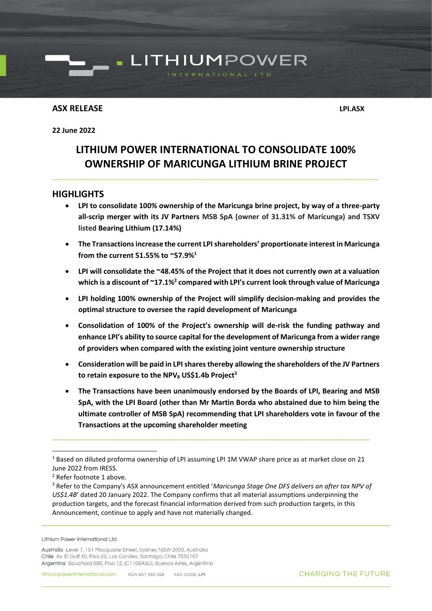**ASX RELEASE LPI.ASX** 

**22 June 2022**

### **LITHIUM POWER INTERNATIONAL TO CONSOLIDATE 100% OWNERSHIP OF MARICUNGA LITHIUM BRINE PROJECT**

**. LITHIUMPOWER** 

\_\_\_\_\_\_\_\_\_\_\_\_\_\_\_\_\_\_\_\_\_\_\_\_\_\_\_\_\_\_\_\_\_\_\_\_\_\_\_\_\_\_\_\_\_\_\_\_\_\_\_\_\_\_\_\_\_\_\_\_\_\_\_\_\_\_\_\_\_\_\_\_\_\_\_\_\_\_\_\_\_\_

### **HIGHLIGHTS**

- **LPI to consolidate 100% ownership of the Maricunga brine project, by way of a three-party all-scrip merger with its JV Partners MSB SpA (owner of 31.31% of Maricunga) and TSXV listed Bearing Lithium (17.14%)**
- **The Transactionsincrease the current LPI shareholders' proportionate interest in Maricunga from the current 51.55% to ~57.9%<sup>1</sup>**
- **LPI will consolidate the ~48.45% of the Project that it does not currently own at a valuation which is a discount of ~17.1%<sup>2</sup> compared with LPI's current look through value of Maricunga**
- **LPI holding 100% ownership of the Project will simplify decision-making and provides the optimal structure to oversee the rapid development of Maricunga**
- **Consolidation of 100% of the Project's ownership will de-risk the funding pathway and enhance LPI's ability to source capital for the development of Maricunga from a wider range of providers when compared with the existing joint venture ownership structure**
- <span id="page-0-0"></span>• **Consideration will be paid in LPI shares thereby allowing the shareholders of the JV Partners to retain exposure to the NPV<sup>8</sup> US\$1.4b Project<sup>3</sup>**
- **The Transactions have been unanimously endorsed by the Boards of LPI, Bearing and MSB SpA, with the LPI Board (other than Mr Martin Borda who abstained due to him being the ultimate controller of MSB SpA) recommending that LPI shareholders vote in favour of the Transactions at the upcoming shareholder meeting**

\_\_\_\_\_\_\_\_\_\_\_\_\_\_\_\_\_\_\_\_\_\_\_\_\_\_\_\_\_\_\_\_\_\_\_\_\_\_\_\_\_\_\_\_\_\_\_\_\_\_\_\_\_\_\_\_\_\_\_\_\_\_\_\_\_\_\_\_\_\_\_\_\_\_\_\_\_\_\_\_

Lithium Power International Ltd

<sup>1</sup> Based on diluted proforma ownership of LPI assuming LPI 1M VWAP share price as at market close on 21 June 2022 from IRESS.

<sup>2</sup> Refer footnote 1 above.

<sup>3</sup> Refer to the Company's ASX announcement entitled '*Maricunga Stage One DFS delivers an after tax NPV of US\$1.4B*' dated 20 January 2022. The Company confirms that all material assumptions underpinning the production targets, and the forecast financial information derived from such production targets, in this Announcement, continue to apply and have not materially changed.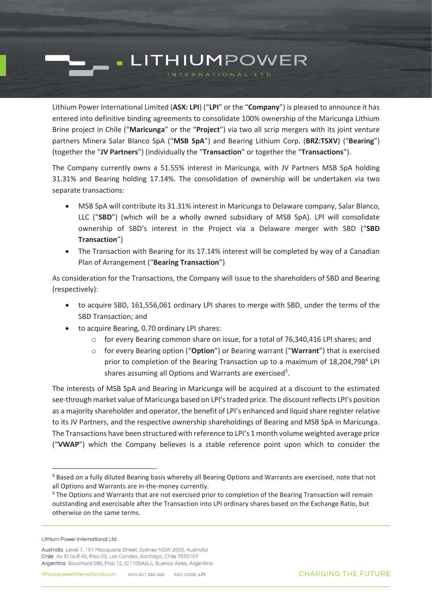**LITHIUMPOWER** 

Lithium Power International Limited (**ASX: LPI**) ("**LPI**" or the "**Company**") is pleased to announce it has entered into definitive binding agreements to consolidate 100% ownership of the Maricunga Lithium Brine project in Chile ("**Maricunga**" or the "**Project**") via two all scrip mergers with its joint venture partners Minera Salar Blanco SpA ("**MSB SpA**") and Bearing Lithium Corp. (**BRZ:TSXV**) ("**Bearing**") (together the "**JV Partners**") (individually the "**Transaction**" or together the "**Transactions**").

The Company currently owns a 51.55% interest in Maricunga, with JV Partners MSB SpA holding 31.31% and Bearing holding 17.14%. The consolidation of ownership will be undertaken via two separate transactions:

- MSB SpA will contribute its 31.31% interest in Maricunga to Delaware company, Salar Blanco, LLC ("**SBD**") (which will be a wholly owned subsidiary of MSB SpA). LPI will consolidate ownership of SBD's interest in the Project via a Delaware merger with SBD ("**SBD Transaction**")
- The Transaction with Bearing for its 17.14% interest will be completed by way of a Canadian Plan of Arrangement ("**Bearing Transaction**")

As consideration for the Transactions, the Company will issue to the shareholders of SBD and Bearing (respectively):

- to acquire SBD, 161,556,061 ordinary LPI shares to merge with SBD, under the terms of the SBD Transaction; and
- to acquire Bearing, 0.70 ordinary LPI shares:
	- $\circ$  for every Bearing common share on issue, for a total of 76,340,416 LPI shares; and
	- o for every Bearing option ("**Option**") or Bearing warrant ("**Warrant**") that is exercised prior to completion of the Bearing Transaction up to a maximum of 18,204,798<sup>4</sup> LPI shares assuming all Options and Warrants are exercised<sup>5</sup>.

The interests of MSB SpA and Bearing in Maricunga will be acquired at a discount to the estimated see-through market value of Maricunga based on LPI's traded price. The discount reflects LPI's position as a majority shareholder and operator, the benefit of LPI's enhanced and liquid share register relative to its JV Partners, and the respective ownership shareholdings of Bearing and MSB SpA in Maricunga. The Transactions have been structured with reference to LPI's 1 month volume weighted average price ("**VWAP**") which the Company believes is a stable reference point upon which to consider the

<sup>4</sup> Based on a fully diluted Bearing basis whereby all Bearing Options and Warrants are exercised, note that not all Options and Warrants are in-the-money currently.

<sup>5</sup> The Options and Warrants that are not exercised prior to completion of the Bearing Transaction will remain outstanding and exercisable after the Transaction into LPI ordinary shares based on the Exchange Ratio, but otherwise on the same terms.

Lithium Power International Ltd

Australia Level 7, 151 Macquarie Street, Sydney NSW 2000, Australia Chile Av. El Golf 40, Piso 20, Las Condes, Santiago, Chile 7550107 Argentina Bouchard 680, Piso 12, (C1106ABJ), Buenos Aires, Argentina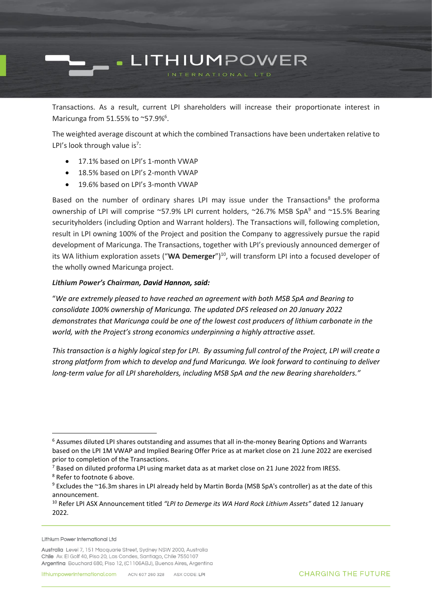## - LITHIUMPOWER

Transactions. As a result, current LPI shareholders will increase their proportionate interest in Maricunga from 51.55% to ~57.9%<sup>6</sup>.

The weighted average discount at which the combined Transactions have been undertaken relative to LPI's look through value is<sup>7</sup>:

- <span id="page-2-0"></span>• 17.1% based on LPI's 1-month VWAP
- 18.5% based on LPI's 2-month VWAP
- 19.6% based on LPI's 3-month VWAP

Based on the number of ordinary shares LPI may issue under the Transactions<sup>8</sup> the proforma ownership of LPI will comprise ~57.9% LPI current holders, ~26.7% MSB SpA<sup>9</sup> and ~15.5% Bearing securityholders (including Option and Warrant holders). The Transactions will, following completion, result in LPI owning 100% of the Project and position the Company to aggressively pursue the rapid development of Maricunga. The Transactions, together with LPI's previously announced demerger of its WA lithium exploration assets ("WA Demerger")<sup>10</sup>, will transform LPI into a focused developer of the wholly owned Maricunga project.

### *Lithium Power's Chairman, David Hannon, said:*

"*We are extremely pleased to have reached an agreement with both MSB SpA and Bearing to consolidate 100% ownership of Maricunga. The updated DFS released on 20 January 2022 demonstrates that Maricunga could be one of the lowest cost producers of lithium carbonate in the world, with the Project's strong economics underpinning a highly attractive asset.* 

*This transaction is a highly logical step for LPI. By assuming full control of the Project, LPI will create a strong platform from which to develop and fund Maricunga. We look forward to continuing to deliver long-term value for all LPI shareholders, including MSB SpA and the new Bearing shareholders."* 

<sup>8</sup> Refer to footnot[e 6](#page-2-0) above.

Lithium Power International Ltd

<sup>6</sup> Assumes diluted LPI shares outstanding and assumes that all in-the-money Bearing Options and Warrants based on the LPI 1M VWAP and Implied Bearing Offer Price as at market close on 21 June 2022 are exercised prior to completion of the Transactions.

<sup>&</sup>lt;sup>7</sup> Based on diluted proforma LPI using market data as at market close on 21 June 2022 from IRESS.

<sup>9</sup> Excludes the ~16.3m shares in LPI already held by Martin Borda (MSB SpA's controller) as at the date of this announcement.

<sup>10</sup> Refer LPI ASX Announcement titled *"LPI to Demerge its WA Hard Rock Lithium Assets"* dated 12 January 2022.

Australia Level 7, 151 Macquarie Street, Sydney NSW 2000, Australia Chile Av. El Golf 40, Piso 20, Las Condes, Santiago, Chile 7550107 Argentina Bouchard 680, Piso 12, (C1106ABJ), Buenos Aires, Argentina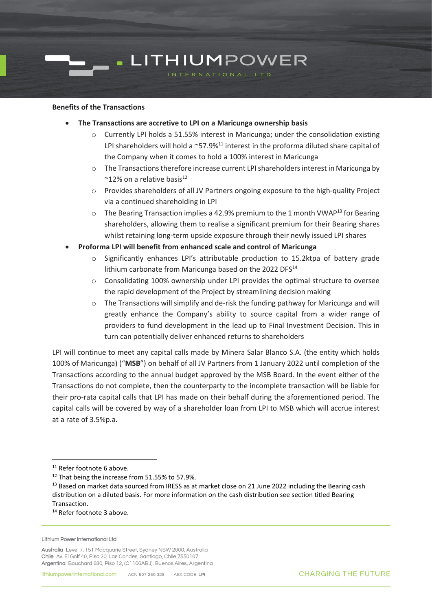### **Benefits of the Transactions**

• **The Transactions are accretive to LPI on a Maricunga ownership basis**

- LITHIUMPOWER

- $\circ$  Currently LPI holds a 51.55% interest in Maricunga; under the consolidation existing LPI shareholders will hold a  $\sim$ 57.9%<sup>11</sup> interest in the proforma diluted share capital of the Company when it comes to hold a 100% interest in Maricunga
- o The Transactions therefore increase current LPI shareholders interest in Maricunga by  $\sim$ 12% on a relative basis<sup>12</sup>
- o Provides shareholders of all JV Partners ongoing exposure to the high-quality Project via a continued shareholding in LPI
- $\circ$  The Bearing Transaction implies a 42.9% premium to the 1 month VWAP<sup>13</sup> for Bearing shareholders, allowing them to realise a significant premium for their Bearing shares whilst retaining long-term upside exposure through their newly issued LPI shares
- **Proforma LPI will benefit from enhanced scale and control of Maricunga**
	- o Significantly enhances LPI's attributable production to 15.2ktpa of battery grade lithium carbonate from Maricunga based on the 2022 DFS $^{14}$
	- o Consolidating 100% ownership under LPI provides the optimal structure to oversee the rapid development of the Project by streamlining decision making
	- $\circ$  The Transactions will simplify and de-risk the funding pathway for Maricunga and will greatly enhance the Company's ability to source capital from a wider range of providers to fund development in the lead up to Final Investment Decision. This in turn can potentially deliver enhanced returns to shareholders

LPI will continue to meet any capital calls made by Minera Salar Blanco S.A. (the entity which holds 100% of Maricunga) ("**MSB**") on behalf of all JV Partners from 1 January 2022 until completion of the Transactions according to the annual budget approved by the MSB Board. In the event either of the Transactions do not complete, then the counterparty to the incomplete transaction will be liable for their pro-rata capital calls that LPI has made on their behalf during the aforementioned period. The capital calls will be covered by way of a shareholder loan from LPI to MSB which will accrue interest at a rate of 3.5%p.a.

Lithium Power International Ltd

<sup>&</sup>lt;sup>11</sup> Refer footnote [6](#page-2-0) above.

<sup>&</sup>lt;sup>12</sup> That being the increase from 51.55% to 57.9%.

<sup>&</sup>lt;sup>13</sup> Based on market data sourced from IRESS as at market close on 21 June 2022 including the Bearing cash distribution on a diluted basis. For more information on the cash distribution see section titled Bearing Transaction.

<sup>&</sup>lt;sup>14</sup> Refer footnote [3](#page-0-0) above.

Australia Level 7, 151 Macquarie Street, Sydney NSW 2000, Australia Chile Av. El Golf 40, Piso 20, Las Condes, Santiago, Chile 7550107 Argentina Bouchard 680, Piso 12, (C1106ABJ), Buenos Aires, Argentina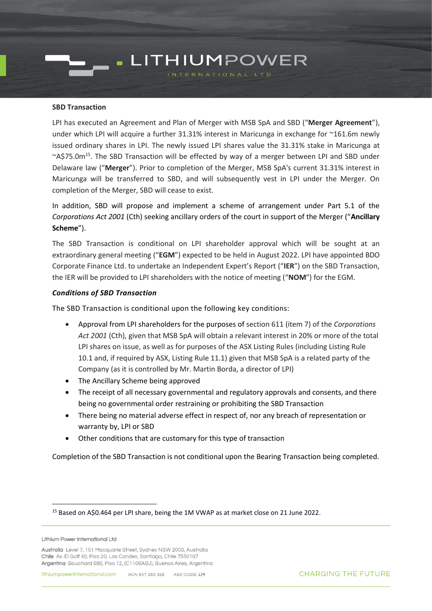### **SBD Transaction**

LPI has executed an Agreement and Plan of Merger with MSB SpA and SBD ("**Merger Agreement**"), under which LPI will acquire a further 31.31% interest in Maricunga in exchange for ~161.6m newly issued ordinary shares in LPI. The newly issued LPI shares value the 31.31% stake in Maricunga at ~A\$75.0m<sup>15</sup>. The SBD Transaction will be effected by way of a merger between LPI and SBD under Delaware law ("**Merger**"). Prior to completion of the Merger, MSB SpA's current 31.31% interest in Maricunga will be transferred to SBD, and will subsequently vest in LPI under the Merger. On completion of the Merger, SBD will cease to exist.

**LITHIUMPOWER** 

In addition, SBD will propose and implement a scheme of arrangement under Part 5.1 of the *Corporations Act 2001* (Cth) seeking ancillary orders of the court in support of the Merger ("**Ancillary Scheme**").

The SBD Transaction is conditional on LPI shareholder approval which will be sought at an extraordinary general meeting ("**EGM**") expected to be held in August 2022. LPI have appointed BDO Corporate Finance Ltd. to undertake an Independent Expert's Report ("**IER**") on the SBD Transaction, the IER will be provided to LPI shareholders with the notice of meeting ("**NOM**") for the EGM.

### *Conditions of SBD Transaction*

The SBD Transaction is conditional upon the following key conditions:

- Approval from LPI shareholders for the purposes of section 611 (item 7) of the *Corporations Act 2001* (Cth), given that MSB SpA will obtain a relevant interest in 20% or more of the total LPI shares on issue, as well as for purposes of the ASX Listing Rules (including Listing Rule 10.1 and, if required by ASX, Listing Rule 11.1) given that MSB SpA is a related party of the Company (as it is controlled by Mr. Martin Borda, a director of LPI)
- The Ancillary Scheme being approved
- The receipt of all necessary governmental and regulatory approvals and consents, and there being no governmental order restraining or prohibiting the SBD Transaction
- There being no material adverse effect in respect of, nor any breach of representation or warranty by, LPI or SBD
- Other conditions that are customary for this type of transaction

Completion of the SBD Transaction is not conditional upon the Bearing Transaction being completed.

Lithium Power International Ltd

<sup>&</sup>lt;sup>15</sup> Based on A\$0.464 per LPI share, being the 1M VWAP as at market close on 21 June 2022.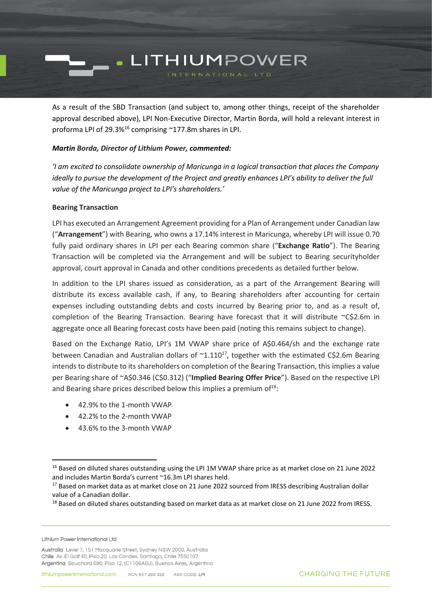# LITHIUMPOWER

As a result of the SBD Transaction (and subject to, among other things, receipt of the shareholder approval described above), LPI Non-Executive Director, Martin Borda, will hold a relevant interest in proforma LPI of 29.3%<sup>16</sup> comprising ~177.8m shares in LPI.

### *Martin Borda, Director of Lithium Power, commented:*

*'I am excited to consolidate ownership of Maricunga in a logical transaction that places the Company ideally to pursue the development of the Project and greatly enhances LPI's ability to deliver the full value of the Maricunga project to LPI's shareholders.'*

### **Bearing Transaction**

LPI has executed an Arrangement Agreement providing for a Plan of Arrangement under Canadian law ("**Arrangement**") with Bearing, who owns a 17.14% interest in Maricunga, whereby LPI will issue 0.70 fully paid ordinary shares in LPI per each Bearing common share ("**Exchange Ratio**"). The Bearing Transaction will be completed via the Arrangement and will be subject to Bearing securityholder approval, court approval in Canada and other conditions precedents as detailed further below.

In addition to the LPI shares issued as consideration, as a part of the Arrangement Bearing will distribute its excess available cash, if any, to Bearing shareholders after accounting for certain expenses including outstanding debts and costs incurred by Bearing prior to, and as a result of, completion of the Bearing Transaction. Bearing have forecast that it will distribute ~C\$2.6m in aggregate once all Bearing forecast costs have been paid (noting this remains subject to change).

Based on the Exchange Ratio, LPI's 1M VWAP share price of A\$0.464/sh and the exchange rate between Canadian and Australian dollars of  $\sim 1.110^{17}$ , together with the estimated C\$2.6m Bearing intends to distribute to its shareholders on completion of the Bearing Transaction, this implies a value per Bearing share of ~A\$0.346 (C\$0.312) ("**Implied Bearing Offer Price**"). Based on the respective LPI and Bearing share prices described below this implies a premium of $18$ :

- 42.9% to the 1-month VWAP
- 42.2% to the 2-month VWAP
- 43.6% to the 3-month VWAP

Lithium Power International Ltd

<sup>&</sup>lt;sup>16</sup> Based on diluted shares outstanding using the LPI 1M VWAP share price as at market close on 21 June 2022 and includes Martin Borda's current ~16.3m LPI shares held.

<sup>&</sup>lt;sup>17</sup> Based on market data as at market close on 21 June 2022 sourced from IRESS describing Australian dollar value of a Canadian dollar.

<sup>&</sup>lt;sup>18</sup> Based on diluted shares outstanding based on market data as at market close on 21 June 2022 from IRESS.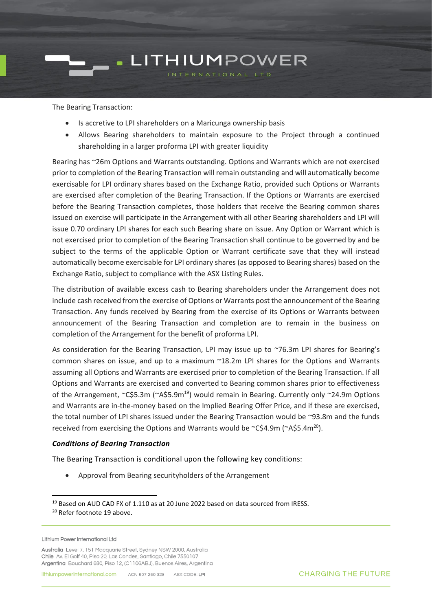

The Bearing Transaction:

- Is accretive to LPI shareholders on a Maricunga ownership basis
- Allows Bearing shareholders to maintain exposure to the Project through a continued shareholding in a larger proforma LPI with greater liquidity

Bearing has ~26m Options and Warrants outstanding. Options and Warrants which are not exercised prior to completion of the Bearing Transaction will remain outstanding and will automatically become exercisable for LPI ordinary shares based on the Exchange Ratio, provided such Options or Warrants are exercised after completion of the Bearing Transaction. If the Options or Warrants are exercised before the Bearing Transaction completes, those holders that receive the Bearing common shares issued on exercise will participate in the Arrangement with all other Bearing shareholders and LPI will issue 0.70 ordinary LPI shares for each such Bearing share on issue. Any Option or Warrant which is not exercised prior to completion of the Bearing Transaction shall continue to be governed by and be subject to the terms of the applicable Option or Warrant certificate save that they will instead automatically become exercisable for LPI ordinary shares (as opposed to Bearing shares) based on the Exchange Ratio, subject to compliance with the ASX Listing Rules.

The distribution of available excess cash to Bearing shareholders under the Arrangement does not include cash received from the exercise of Options or Warrants post the announcement of the Bearing Transaction. Any funds received by Bearing from the exercise of its Options or Warrants between announcement of the Bearing Transaction and completion are to remain in the business on completion of the Arrangement for the benefit of proforma LPI.

<span id="page-6-0"></span>As consideration for the Bearing Transaction, LPI may issue up to ~76.3m LPI shares for Bearing's common shares on issue, and up to a maximum ~18.2m LPI shares for the Options and Warrants assuming all Options and Warrants are exercised prior to completion of the Bearing Transaction. If all Options and Warrants are exercised and converted to Bearing common shares prior to effectiveness of the Arrangement, ~C\$5.3m (~A\$5.9m<sup>19</sup>) would remain in Bearing. Currently only ~24.9m Options and Warrants are in-the-money based on the Implied Bearing Offer Price, and if these are exercised, the total number of LPI shares issued under the Bearing Transaction would be ~93.8m and the funds received from exercising the Options and Warrants would be ~C\$4.9m (~A\$5.4m<sup>20</sup>).

### *Conditions of Bearing Transaction*

The Bearing Transaction is conditional upon the following key conditions:

• Approval from Bearing securityholders of the Arrangement

<sup>&</sup>lt;sup>19</sup> Based on AUD CAD FX of 1.110 as at 20 June 2022 based on data sourced from IRESS.

<sup>20</sup> Refer footnote [19](#page-6-0) above.

Lithium Power International Ltd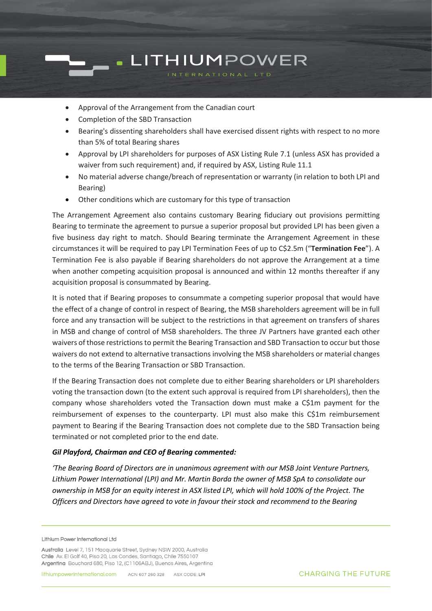# **LITHIUMPOWER**

- Approval of the Arrangement from the Canadian court
- Completion of the SBD Transaction
- Bearing's dissenting shareholders shall have exercised dissent rights with respect to no more than 5% of total Bearing shares
- Approval by LPI shareholders for purposes of ASX Listing Rule 7.1 (unless ASX has provided a waiver from such requirement) and, if required by ASX, Listing Rule 11.1
- No material adverse change/breach of representation or warranty (in relation to both LPI and Bearing)
- Other conditions which are customary for this type of transaction

The Arrangement Agreement also contains customary Bearing fiduciary out provisions permitting Bearing to terminate the agreement to pursue a superior proposal but provided LPI has been given a five business day right to match. Should Bearing terminate the Arrangement Agreement in these circumstances it will be required to pay LPI Termination Fees of up to C\$2.5m ("**Termination Fee**"). A Termination Fee is also payable if Bearing shareholders do not approve the Arrangement at a time when another competing acquisition proposal is announced and within 12 months thereafter if any acquisition proposal is consummated by Bearing.

It is noted that if Bearing proposes to consummate a competing superior proposal that would have the effect of a change of control in respect of Bearing, the MSB shareholders agreement will be in full force and any transaction will be subject to the restrictions in that agreement on transfers of shares in MSB and change of control of MSB shareholders. The three JV Partners have granted each other waivers of those restrictions to permit the Bearing Transaction and SBD Transaction to occur but those waivers do not extend to alternative transactions involving the MSB shareholders or material changes to the terms of the Bearing Transaction or SBD Transaction.

If the Bearing Transaction does not complete due to either Bearing shareholders or LPI shareholders voting the transaction down (to the extent such approval is required from LPI shareholders), then the company whose shareholders voted the Transaction down must make a C\$1m payment for the reimbursement of expenses to the counterparty. LPI must also make this C\$1m reimbursement payment to Bearing if the Bearing Transaction does not complete due to the SBD Transaction being terminated or not completed prior to the end date.

### *Gil Playford, Chairman and CEO of Bearing commented:*

*'The Bearing Board of Directors are in unanimous agreement with our MSB Joint Venture Partners, Lithium Power International (LPI) and Mr. Martin Borda the owner of MSB SpA to consolidate our ownership in MSB for an equity interest in ASX listed LPI, which will hold 100% of the Project. The Officers and Directors have agreed to vote in favour their stock and recommend to the Bearing* 

Lithium Power International Ltd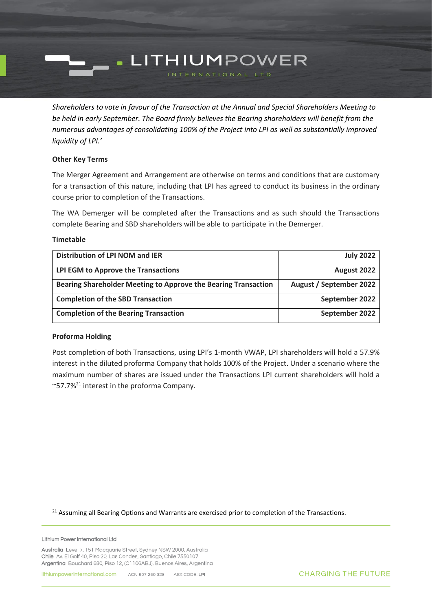- LITHIUMPOWER

*Shareholders to vote in favour of the Transaction at the Annual and Special Shareholders Meeting to be held in early September. The Board firmly believes the Bearing shareholders will benefit from the numerous advantages of consolidating 100% of the Project into LPI as well as substantially improved liquidity of LPI.'*

### **Other Key Terms**

The Merger Agreement and Arrangement are otherwise on terms and conditions that are customary for a transaction of this nature, including that LPI has agreed to conduct its business in the ordinary course prior to completion of the Transactions.

The WA Demerger will be completed after the Transactions and as such should the Transactions complete Bearing and SBD shareholders will be able to participate in the Demerger.

### **Timetable**

| <b>Distribution of LPI NOM and IER</b>                         | <b>July 2022</b>               |
|----------------------------------------------------------------|--------------------------------|
| LPI EGM to Approve the Transactions                            | August 2022                    |
| Bearing Shareholder Meeting to Approve the Bearing Transaction | <b>August / September 2022</b> |
| <b>Completion of the SBD Transaction</b>                       | September 2022                 |
| <b>Completion of the Bearing Transaction</b>                   | September 2022                 |

### **Proforma Holding**

Post completion of both Transactions, using LPI's 1-month VWAP, LPI shareholders will hold a 57.9% interest in the diluted proforma Company that holds 100% of the Project. Under a scenario where the maximum number of shares are issued under the Transactions LPI current shareholders will hold a ~57.7% <sup>21</sup> interest in the proforma Company.

<sup>21</sup> Assuming all Bearing Options and Warrants are exercised prior to completion of the Transactions.

Lithium Power International Ltd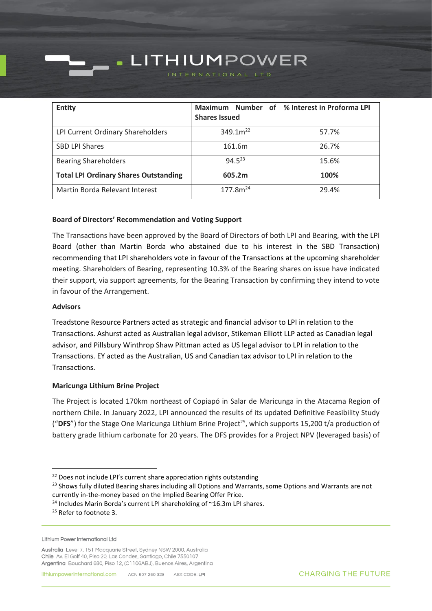**Entity Maximum Number of Maximum Mumber Shares Issued % Interest in Proforma LPI** LPI Current Ordinary Shareholders | 349.1m<sup>22</sup> 57.7% SBD LPI Shares 26.7% Bearing Shareholders  $94.5^{23}$  15.6% **Total LPI Ordinary Shares Outstanding 605.2m 100%** Martin Borda Relevant Interest  $177.8m^{24}$   $199.4\%$ 

- LITHIUMPOWER

### **Board of Directors' Recommendation and Voting Support**

The Transactions have been approved by the Board of Directors of both LPI and Bearing, with the LPI Board (other than Martin Borda who abstained due to his interest in the SBD Transaction) recommending that LPI shareholders vote in favour of the Transactions at the upcoming shareholder meeting. Shareholders of Bearing, representing 10.3% of the Bearing shares on issue have indicated their support, via support agreements, for the Bearing Transaction by confirming they intend to vote in favour of the Arrangement.

### **Advisors**

Treadstone Resource Partners acted as strategic and financial advisor to LPI in relation to the Transactions. Ashurst acted as Australian legal advisor, Stikeman Elliott LLP acted as Canadian legal advisor, and Pillsbury Winthrop Shaw Pittman acted as US legal advisor to LPI in relation to the Transactions. EY acted as the Australian, US and Canadian tax advisor to LPI in relation to the Transactions.

### **Maricunga Lithium Brine Project**

The Project is located 170km northeast of Copiapó in Salar de Maricunga in the Atacama Region of northern Chile. In January 2022, LPI announced the results of its updated Definitive Feasibility Study ("DFS") for the Stage One Maricunga Lithium Brine Project<sup>25</sup>, which supports 15,200 t/a production of battery grade lithium carbonate for 20 years. The DFS provides for a Project NPV (leveraged basis) of

<sup>&</sup>lt;sup>22</sup> Does not include LPI's current share appreciation rights outstanding

<sup>&</sup>lt;sup>23</sup> Shows fully diluted Bearing shares including all Options and Warrants, some Options and Warrants are not currently in-the-money based on the Implied Bearing Offer Price.

 $24$  Includes Marin Borda's current LPI shareholding of  $\approx$  16.3m LPI shares.

<sup>&</sup>lt;sup>25</sup> Refer to footnote [3.](#page-0-0)

Lithium Power International Ltd

Australia Level 7, 151 Macquarie Street, Sydney NSW 2000, Australia Chile Av. El Golf 40, Piso 20, Las Condes, Santiago, Chile 7550107 Argentina Bouchard 680, Piso 12, (C1106ABJ), Buenos Aires, Argentina